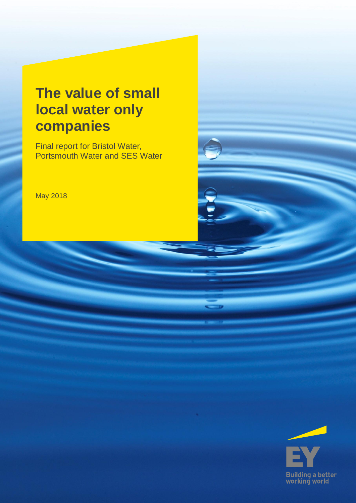# **The value of small local water only companies**

Final report for Bristol Water, Portsmouth Water and SES Water

May 2018

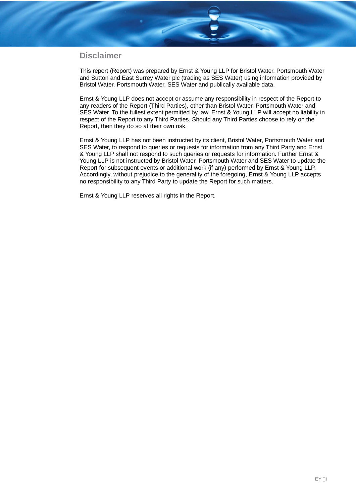## **Disclaimer**

This report (Report) was prepared by Ernst & Young LLP for Bristol Water, Portsmouth Water and Sutton and East Surrey Water plc (trading as SES Water) using information provided by Bristol Water, Portsmouth Water, SES Water and publically available data.

Ernst & Young LLP does not accept or assume any responsibility in respect of the Report to any readers of the Report (Third Parties), other than Bristol Water, Portsmouth Water and SES Water. To the fullest extent permitted by law, Ernst & Young LLP will accept no liability in respect of the Report to any Third Parties. Should any Third Parties choose to rely on the Report, then they do so at their own risk.

Ernst & Young LLP has not been instructed by its client, Bristol Water, Portsmouth Water and SES Water, to respond to queries or requests for information from any Third Party and Ernst & Young LLP shall not respond to such queries or requests for information. Further Ernst & Young LLP is not instructed by Bristol Water, Portsmouth Water and SES Water to update the Report for subsequent events or additional work (if any) performed by Ernst & Young LLP. Accordingly, without prejudice to the generality of the foregoing, Ernst & Young LLP accepts no responsibility to any Third Party to update the Report for such matters.

Ernst & Young LLP reserves all rights in the Report.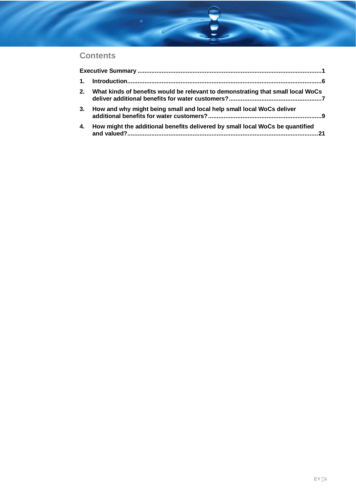# **Contents**

| 2. | What kinds of benefits would be relevant to demonstrating that small local WoCs |  |
|----|---------------------------------------------------------------------------------|--|
| 3. | How and why might being small and local help small local WoCs deliver           |  |
| 4. | How might the additional benefits delivered by small local WoCs be quantified   |  |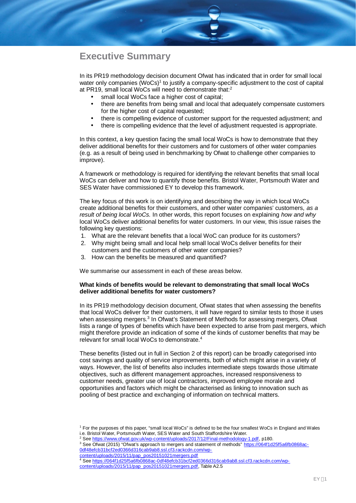# **Executive Summary**

In its PR19 methodology decision document Ofwat has indicated that in order for small local water only companies (WoCs)<sup>1</sup> to justify a company-specific adjustment to the cost of capital at PR19, small local WoCs will need to demonstrate that:<sup>2</sup>

- small local WoCs face a higher cost of capital;
- there are benefits from being small and local that adequately compensate customers for the higher cost of capital requested;
- there is compelling evidence of customer support for the requested adjustment; and
- there is compelling evidence that the level of adjustment requested is appropriate.

In this context, a key question facing the small local WoCs is how to demonstrate that they deliver additional benefits for their customers and for customers of other water companies (e.g. as a result of being used in benchmarking by Ofwat to challenge other companies to improve).

A framework or methodology is required for identifying the relevant benefits that small local WoCs can deliver and how to quantify those benefits. Bristol Water, Portsmouth Water and SES Water have commissioned EY to develop this framework.

The key focus of this work is on identifying and describing the way in which local WoCs create additional benefits for their customers, and other water companies' customers, *as a result of being local WoCs.* In other words, this report focuses on explaining *how and why* local WoCs deliver additional benefits for water customers. In our view, this issue raises the following key questions:

- 1. What are the relevant benefits that a local WoC can produce for its customers?
- 2. Why might being small and local help small local WoCs deliver benefits for their customers and the customers of other water companies?
- 3. How can the benefits be measured and quantified?

We summarise our assessment in each of these areas below.

#### **What kinds of benefits would be relevant to demonstrating that small local WoCs deliver additional benefits for water customers?**

In its PR19 methodology decision document, Ofwat states that when assessing the benefits that local WoCs deliver for their customers, it will have regard to similar tests to those it uses when assessing mergers.<sup>3</sup> In Ofwat's Statement of Methods for assessing mergers, Ofwat lists a range of types of benefits which have been expected to arise from past mergers, which might therefore provide an indication of some of the kinds of customer benefits that may be relevant for small local WoCs to demonstrate.<sup>4</sup>

These benefits (listed out in full in Section 2 of this report) can be broadly categorised into cost savings and quality of service improvements, both of which might arise in a variety of ways. However, the list of benefits also includes intermediate steps towards those ultimate objectives, such as different management approaches, increased responsiveness to customer needs, greater use of local contractors, improved employee morale and opportunities and factors which might be characterised as linking to innovation such as pooling of best practice and exchanging of information on technical matters.

<sup>1</sup> For the purposes of this paper, "small local WoCs" is defined to be the four smallest WoCs in England and Wales i.e. Bristol Water, Portsmouth Water, SES Water and South Staffordshire Water.

<sup>&</sup>lt;sup>2</sup> See https://www.ofwat.gov.uk/wp-content/uploads/2017/12/Final-methodology-1.pdf, p180.

<sup>&</sup>lt;sup>3</sup> See Ofwat (2015) "Ofwat's approach to mergers and statement of methods" https://064f1d25f5a6fb0868ac-0df48efcb31bcf2ed0366d316cab9ab8.ssl.cf3.rackcdn.com/wp-

content/uploads/2015/11/pap\_pos20151021mergers.pdf 4 See https://064f1d25f5a6fb0868ac-0df48efcb31bcf2ed0366d316cab9ab8.ssl.cf3.rackcdn.com/wpcontent/uploads/2015/11/pap\_pos20151021mergers.pdf, Table A2.5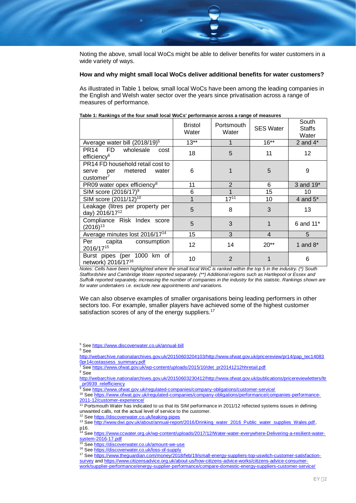

Noting the above, small local WoCs might be able to deliver benefits for water customers in a wide variety of ways.

#### **How and why might small local WoCs deliver additional benefits for water customers?**

As illustrated in Table 1 below, small local WoCs have been among the leading companies in the English and Welsh water sector over the years since privatisation across a range of measures of performance.

|                                                                                               | <b>Bristol</b><br>Water | Portsmouth<br>Water | <b>SES Water</b> | South<br><b>Staffs</b><br>Water |
|-----------------------------------------------------------------------------------------------|-------------------------|---------------------|------------------|---------------------------------|
| Average water bill $(2018/19)^5$                                                              | $13**$                  |                     | $16**$           | 2 and $4*$                      |
| PR14 FD<br>wholesale<br>cost<br>efficiency <sup>6</sup>                                       | 18                      | 5                   | 11               | $12 \overline{ }$               |
| PR14 FD household retail cost to<br>metered<br>per<br>water<br>serve<br>customer <sup>7</sup> | 6                       |                     | 5                | 9                               |
| PR09 water opex efficiency <sup>8</sup>                                                       | 11                      | $\overline{2}$      | 6                | 3 and 19 <sup>*</sup>           |
| SIM score $(2016/17)^9$                                                                       | 6                       |                     | 15               | 10                              |
| SIM score (2011/12) <sup>10</sup>                                                             | 1                       | $17^{11}$           | 10               | 4 and $5^*$                     |
| Leakage (litres per property per<br>day) 2016/17 <sup>12</sup>                                | 5                       | 8                   | 3                | 13                              |
| Compliance Risk Index score<br>$(2016)^{13}$                                                  | 5                       | 3                   |                  | 6 and 11 <sup>*</sup>           |
| Average minutes lost 2016/17 <sup>14</sup>                                                    | 15                      | 3                   | $\overline{4}$   | 5                               |
| capita<br>consumption<br>Per<br>2016/1715                                                     | 12                      | 14                  | $20**$           | 1 and $8*$                      |
| Burst pipes (per 1000 km of<br>network) 2016/17 <sup>16</sup>                                 | 10                      | $\overline{2}$      |                  | 6                               |

#### **Table 1: Rankings of the four small local WoCs' performance across a range of measures**

*Notes: Cells have been highlighted where the small local WoC is ranked within the top 5 in the industry. (\*) South Staffordshire and Cambridge Water reported separately. (\*\*) Additional regions such as Hartlepool or Essex and Suffolk reported separately, increasing the number of companies in the industry for this statistic. Rankings shown are for water undertakers i.e. exclude new appointments and variations.*

We can also observe examples of smaller organisations being leading performers in other sectors too. For example, smaller players have achieved some of the highest customer satisfaction scores of any of the energy suppliers.<sup>17</sup>

<sup>5</sup> See https://www.discoverwater.co.uk/annual-bill

6 See

http://webarchive.nationalarchives.gov.uk/20150603204103/http://www.ofwat.gov.uk/pricereview/pr14/pap\_tec14083 <u>0pr14costassess\_summary.pdf</u><br><sup>7</sup> See <u>https://www.ofwat.gov.uk/wp-content/uploads/2015/10/det\_pr20141212hhretail.pdf</u>

8 See

http://webarchive.nationalarchives.gov.uk/20150603230412/http://www.ofwat.gov.uk/publications/pricereviewletters/ltr pr0939\_relefficiency

<sup>9</sup> See https://www.ofwat.gov.uk/regulated-companies/company-obligations/customer-service/

10 See https://www.ofwat.gov.uk/regulated-companies/company-obligations/performance/companies-performance-2011-12/customer-experience/

<sup>11</sup> Portsmouth Water has indicated to us that its SIM performance in 2011/12 reflected systems issues in defining unwanted calls, not the actual level of service to the customer.

<sup>12</sup> See https://discoverwater.co.uk/leaking-pipes

13 See http://www.dwi.gov.uk/about/annual-report/2016/Drinking\_water\_2016\_Public\_water\_supplies\_Wales.pdf, p16.

<sup>14</sup> See https://www.ccwater.org.uk/wp-content/uploads/2017/12/Water-water-everywhere-Delivering-a-resilient-watersystem-2016-17.pdf system-2016-17.pdf<br>
<sup>15</sup> See https://discoverwater.co.uk/amount-we-use

<sup>16</sup> See https://discoverwater.co.uk/loss-of-supply

17 See https://www.theguardian.com/money/2018/feb/19/small-energy-suppliers-top-uswitch-customer-satisfactionsurvey and https://www.citizensadvice.org.uk/about-us/how-citizens-advice-works/citizens-advice-consumerwork/supplier-performance/energy-supplier-performance/compare-domestic-energy-suppliers-customer-service/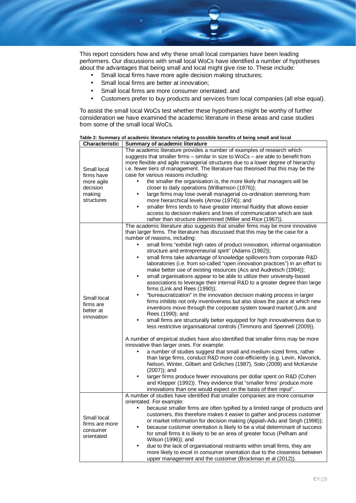This report considers how and why these small local companies have been leading performers. Our discussions with small local WoCs have identified a number of hypotheses about the advantages that being small and local might give rise to. These include:

- Small local firms have more agile decision making structures;
- Small local firms are better at innovation; l,
- Small local firms are more consumer orientated; and
- Customers prefer to buy products and services from local companies (all else equal).

To assist the small local WoCs test whether these hypotheses might be worthy of further consideration we have examined the academic literature in these areas and case studies from some of the small local WoCs.

|                                                                             | Table 2: Summary of academic literature relating to possible benefits of being small and local                                                                                                                                                                                                                                                                                                                                                                                                                                                                                                                                                                                                                                                                                                                                                                                                                                                                                                                                                                                                                                                                                                                                                                                                                                                                                                                                                                                                                                                                                                                                                                                                                                                                                                  |
|-----------------------------------------------------------------------------|-------------------------------------------------------------------------------------------------------------------------------------------------------------------------------------------------------------------------------------------------------------------------------------------------------------------------------------------------------------------------------------------------------------------------------------------------------------------------------------------------------------------------------------------------------------------------------------------------------------------------------------------------------------------------------------------------------------------------------------------------------------------------------------------------------------------------------------------------------------------------------------------------------------------------------------------------------------------------------------------------------------------------------------------------------------------------------------------------------------------------------------------------------------------------------------------------------------------------------------------------------------------------------------------------------------------------------------------------------------------------------------------------------------------------------------------------------------------------------------------------------------------------------------------------------------------------------------------------------------------------------------------------------------------------------------------------------------------------------------------------------------------------------------------------|
| <b>Characteristic</b>                                                       | Summary of academic literature                                                                                                                                                                                                                                                                                                                                                                                                                                                                                                                                                                                                                                                                                                                                                                                                                                                                                                                                                                                                                                                                                                                                                                                                                                                                                                                                                                                                                                                                                                                                                                                                                                                                                                                                                                  |
| Small local<br>firms have<br>more agile<br>decision<br>making<br>structures | The academic literature provides a number of examples of research which<br>suggests that smaller firms - similar in size to WoCs - are able to benefit from<br>more flexible and agile managerial structures due to a lower degree of hierarchy<br>i.e. fewer tiers of management. The literature has theorised that this may be the<br>case for various reasons including:<br>the smaller the organisation is, the more likely that managers will be<br>closer to daily operations (Williamson (1976));<br>large firms may lose overall managerial co-ordination stemming from<br>more hierarchical levels (Arrow (1974)); and<br>smaller firms tends to have greater internal fluidity that allows easier<br>access to decision makers and lines of communication which are task<br>rather than structure determined (Miller and Rice (1967)).                                                                                                                                                                                                                                                                                                                                                                                                                                                                                                                                                                                                                                                                                                                                                                                                                                                                                                                                                |
| Small local<br>firms are<br>better at<br>innovation                         | The academic literature also suggests that smaller firms may be more innovative<br>than larger firms. The literature has discussed that this may be the case for a<br>number of reasons, including:<br>small firms "exhibit high rates of product innovation, informal organisation<br>structure and entrepreneurial spirit" (Adams (1982));<br>small firms take advantage of knowledge spillovers from corporate R&D<br>laboratories (i.e. from so-called "open innovation practices") in an effort to<br>make better use of existing resources (Acs and Audretsch (1994));<br>small organisations appear to be able to utilize their university-based<br>associations to leverage their internal R&D to a greater degree than large<br>firms (Link and Rees (1990));<br>"bureaucratization" in the innovation decision making process in larger<br>firms inhibits not only inventiveness but also slows the pace at which new<br>inventions move through the corporate system toward market (Link and<br>Rees (1990); and<br>small firms are structurally better equipped for high innovativeness due to<br>less restrictive organisational controls (Timmons and Spenneli (2009)).<br>A number of empirical studies have also identified that smaller firms may be more<br>innovative than larger ones. For example:<br>a number of studies suggest that small and medium-sized firms, rather<br>than large firms, conduct R&D more cost-efficiently (e.g. Levin, Klevorick,<br>Nelson, Winter, Gilbert and Griliches (1987), Soto (2009) and McKenzie<br>$(2007)$ ; and<br>larger firms produce fewer innovations per dollar spent on R&D (Cohen<br>and Klepper (1992)). They evidence that "smaller firms' produce more<br>innovations than one would expect on the basis of their input". |
| Small local<br>firms are more<br>consumer<br>orientated                     | A number of studies have identified that smaller companies are more consumer<br>orientated. For example:<br>because smaller firms are often typified by a limited range of products and<br>customers, this therefore makes it easier to gather and process customer<br>or market information for decision making (Appiah-Adu and Singh (1998));<br>because customer orientation is likely to be a vital determinant of success<br>for small firms it is likely to be an area of greater focus (Pelham and<br>Wilson (1996)); and<br>due to the lack of organisational restraints within small firms, they are<br>more likely to excel in consumer orientation due to the closeness between<br>upper management and the customer (Brockman et al (2012)).                                                                                                                                                                                                                                                                                                                                                                                                                                                                                                                                                                                                                                                                                                                                                                                                                                                                                                                                                                                                                                        |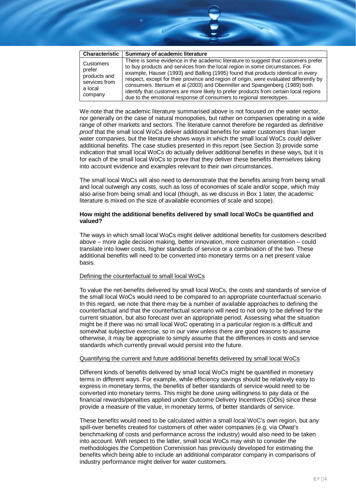| <b>Characteristic</b>                                                      | Summary of academic literature                                                                                                                                                                                                                                                                                                                                                                                                                                                                                                                                                                   |
|----------------------------------------------------------------------------|--------------------------------------------------------------------------------------------------------------------------------------------------------------------------------------------------------------------------------------------------------------------------------------------------------------------------------------------------------------------------------------------------------------------------------------------------------------------------------------------------------------------------------------------------------------------------------------------------|
| Customers<br>prefer<br>products and<br>services from<br>a local<br>company | There is some evidence in the academic literature to suggest that customers prefer<br>to buy products and services from the local region in some circumstances. For<br>example, Hauser (1993) and Balling (1995) found that products identical in every<br>respect, except for their province and region of origin, were evaluated differently by<br>consumers. Ittersum et al (2003) and Obermiller and Spangenberg (1989) both<br>identify that customers are more likely to prefer products from certain local regions<br>due to the emotional response of consumers to regional stereotypes. |

We note that the academic literature summarised above is not focused on the water sector, nor generally on the case of natural monopolies, but rather on companies operating in a wide range of other markets and sectors. The literature cannot therefore be regarded as *definitive proof* that the small local WoCs deliver additional benefits for water customers than larger water companies, but the literature shows ways in which the small local WoCs *could* deliver additional benefits. The case studies presented in this report (see Section 3) provide some indication that small local WoCs *do* actually deliver additional benefits in these ways, but it is for each of the small local WoCs to prove that they deliver these benefits themselves taking into account evidence and examples relevant to their own circumstances.

The small local WoCs will also need to demonstrate that the benefits arising from being small and local outweigh any costs, such as loss of economies of scale and/or scope, which may also arise from being small and local (though, as we discuss in Box 1 later, the academic literature is mixed on the size of available economies of scale and scope).

#### **How might the additional benefits delivered by small local WoCs be quantified and valued?**

The ways in which small local WoCs might deliver additional benefits for customers described above – more agile decision making, better innovation, more customer orientation – could translate into lower costs, higher standards of service or a combination of the two. These additional benefits will need to be converted into monetary terms on a net present value basis.

#### Defining the counterfactual to small local WoCs

To value the net-benefits delivered by small local WoCs, the costs and standards of service of the small local WoCs would need to be compared to an appropriate counterfactual scenario. In this regard, we note that there may be a number of available approaches to defining the counterfactual and that the counterfactual scenario will need to not only to be defined for the current situation, but also forecast over an appropriate period. Assessing what the situation might be if there was no small local WoC operating in a particular region is a difficult and somewhat subjective exercise, so in our view unless there are good reasons to assume otherwise, it may be appropriate to simply assume that the differences in costs and service standards which currently prevail would persist into the future.

#### Quantifying the current and future additional benefits delivered by small local WoCs

Different kinds of benefits delivered by small local WoCs might be quantified in monetary terms in different ways. For example, while efficiency savings should be relatively easy to express in monetary terms, the benefits of better standards of service would need to be converted into monetary terms. This might be done using willingness to pay data or the financial rewards/penalties applied under Outcome Delivery Incentives (ODIs) since these provide a measure of the value, in monetary terms, of better standards of service.

These benefits would need to be calculated within a small local WoC's own region, but any spill-over benefits created for customers of other water companies (e.g. via Ofwat's benchmarking of costs and performance across the industry) would also need to be taken into account. With respect to the latter, small local WoCs may wish to consider the methodologies the Competition Commission has previously developed for estimating the benefits which being able to include an additional comparator company in comparisons of industry performance might deliver for water customers.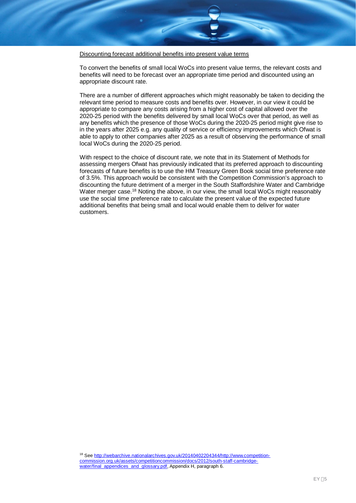Discounting forecast additional benefits into present value terms

To convert the benefits of small local WoCs into present value terms, the relevant costs and benefits will need to be forecast over an appropriate time period and discounted using an appropriate discount rate.

There are a number of different approaches which might reasonably be taken to deciding the relevant time period to measure costs and benefits over. However, in our view it could be appropriate to compare any costs arising from a higher cost of capital allowed over the 2020-25 period with the benefits delivered by small local WoCs over that period, as well as any benefits which the presence of those WoCs during the 2020-25 period might give rise to in the years after 2025 e.g. any quality of service or efficiency improvements which Ofwat is able to apply to other companies after 2025 as a result of observing the performance of small local WoCs during the 2020-25 period.

With respect to the choice of discount rate, we note that in its Statement of Methods for assessing mergers Ofwat has previously indicated that its preferred approach to discounting forecasts of future benefits is to use the HM Treasury Green Book social time preference rate of 3.5%. This approach would be consistent with the Competition Commission's approach to discounting the future detriment of a merger in the South Staffordshire Water and Cambridge Water merger case.<sup>18</sup> Noting the above, in our view, the small local WoCs might reasonably use the social time preference rate to calculate the present value of the expected future additional benefits that being small and local would enable them to deliver for water customers.

<sup>&</sup>lt;sup>18</sup> See http://webarchive.nationalarchives.gov.uk/20140402204344/http://www.competitioncommission.org.uk/assets/competitioncommission/docs/2012/south-staff-cambridgewater/final\_appendices\_and\_glossary.pdf, Appendix H, paragraph 6.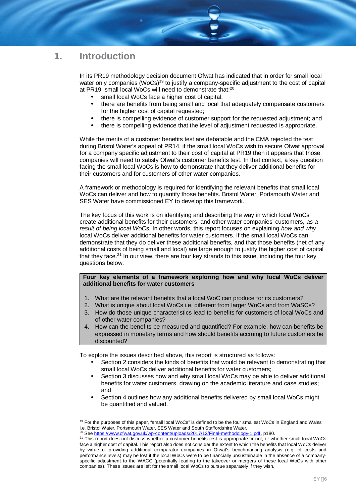# **1. Introduction**

In its PR19 methodology decision document Ofwat has indicated that in order for small local water only companies (WoCs)<sup>19</sup> to justify a company-specific adjustment to the cost of capital at PR19, small local WoCs will need to demonstrate that:<sup>20</sup>

- small local WoCs face a higher cost of capital;
- there are benefits from being small and local that adequately compensate customers for the higher cost of capital requested;
- there is compelling evidence of customer support for the requested adjustment; and
- there is compelling evidence that the level of adjustment requested is appropriate.

While the merits of a customer benefits test are debatable and the CMA rejected the test during Bristol Water's appeal of PR14, if the small local WoCs wish to secure Ofwat approval for a company specific adjustment to their cost of capital at PR19 then it appears that those companies will need to satisfy Ofwat's customer benefits test. In that context, a key question facing the small local WoCs is how to demonstrate that they deliver additional benefits for their customers and for customers of other water companies.

A framework or methodology is required for identifying the relevant benefits that small local WoCs can deliver and how to quantify those benefits. Bristol Water, Portsmouth Water and SES Water have commissioned EY to develop this framework.

The key focus of this work is on identifying and describing the way in which local WoCs create additional benefits for their customers, and other water companies' customers, *as a result of being local WoCs.* In other words, this report focuses on explaining *how and why* local WoCs deliver additional benefits for water customers. If the small local WoCs can demonstrate that they do deliver these additional benefits, and that those benefits (net of any additional costs of being small and local) are large enough to justify the higher cost of capital that they face.<sup>21</sup> In our view, there are four key strands to this issue, including the four key questions below.

#### **Four key elements of a framework exploring how and why local WoCs deliver additional benefits for water customers**

- 1. What are the relevant benefits that a local WoC can produce for its customers?
- 2. What is unique about local WoCs i.e. different from larger WoCs and from WaSCs?
- 3. How do those unique characteristics lead to benefits for customers of local WoCs and of other water companies?
- 4. How can the benefits be measured and quantified? For example, how can benefits be expressed in monetary terms and how should benefits accruing to future customers be discounted?

To explore the issues described above, this report is structured as follows:

- Section 2 considers the kinds of benefits that would be relevant to demonstrating that small local WoCs deliver additional benefits for water customers;
- Section 3 discusses how and why small local WoCs may be able to deliver additional benefits for water customers, drawing on the academic literature and case studies; and
- Section 4 outlines how any additional benefits delivered by small local WoCs might be quantified and valued.

 $19$  For the purposes of this paper, "small local WoCs" is defined to be the four smallest WoCs in England and Wales i.e. Bristol Water, Portsmouth Water, SES Water and South Staffordshire Water.

<sup>&</sup>lt;sup>20</sup> See https://www.ofwat.gov.uk/wp-content/uploads/2017/12/Final-methodology-1.pdf, p180.

<sup>&</sup>lt;sup>21</sup> This report does not discuss whether a customer benefits test is appropriate or not, or whether small local WoCs face a higher cost of capital. This report also does not consider the extent to which the benefits that local WoCs deliver by virtue of providing additional comparator companies in Ofwat's benchmarking analysis (e.g. of costs and performance levels) may be lost if the local WoCs were to be financially unsustainable in the absence of a companyspecific adjustment to the WACC (potentially leading to the takeover or mergers of these local WoCs with other companies). These issues are left for the small local WoCs to pursue separately if they wish.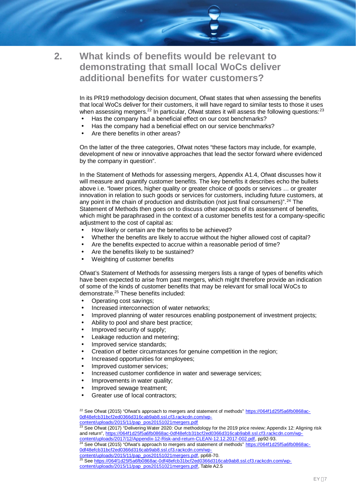**2. What kinds of benefits would be relevant to demonstrating that small local WoCs deliver additional benefits for water customers?**

> In its PR19 methodology decision document, Ofwat states that when assessing the benefits that local WoCs deliver for their customers, it will have regard to similar tests to those it uses when assessing mergers. $^{22}$  In particular, Ofwat states it will assess the following questions:  $^{23}$

- Has the company had a beneficial effect on our cost benchmarks?
- Has the company had a beneficial effect on our service benchmarks?
- Are there benefits in other areas?

On the latter of the three categories, Ofwat notes "these factors may include, for example, development of new or innovative approaches that lead the sector forward where evidenced by the company in question".

In the Statement of Methods for assessing mergers, Appendix A1.4, Ofwat discusses how it will measure and quantify customer benefits. The key benefits it describes echo the bullets above i.e. "lower prices, higher quality or greater choice of goods or services … or greater innovation in relation to such goods or services for customers, including future customers, at any point in the chain of production and distribution (not just final consumers)".<sup>24</sup> The Statement of Methods then goes on to discuss other aspects of its assessment of benefits, which might be paraphrased in the context of a customer benefits test for a company-specific adjustment to the cost of capital as:

- How likely or certain are the benefits to be achieved?
- Whether the benefits are likely to accrue without the higher allowed cost of capital?
- Are the benefits expected to accrue within a reasonable period of time?
- Are the benefits likely to be sustained?
- Weighting of customer benefits

Ofwat's Statement of Methods for assessing mergers lists a range of types of benefits which have been expected to arise from past mergers, which might therefore provide an indication of some of the kinds of customer benefits that may be relevant for small local WoCs to demonstrate.<sup>25</sup> These benefits included:

- Operating cost savings;
- Increased interconnection of water networks;
- Improved planning of water resources enabling postponement of investment projects;
- Ability to pool and share best practice;
- Improved security of supply;
- Leakage reduction and metering;
- Improved service standards;
- Creation of better circumstances for genuine competition in the region;
- Increased opportunities for employees;
- Improved customer services;
- Increased customer confidence in water and sewerage services;
- Improvements in water quality;
- Improved sewage treatment;
- Greater use of local contractors;

<sup>22</sup> See Ofwat (2015) "Ofwat's approach to mergers and statement of methods" https://064f1d25f5a6fb0868ac-0df48efcb31bcf2ed0366d316cab9ab8.ssl.cf3.rackcdn.com/wp-

content/uploads/2015/11/pap\_pos20151021mergers.pdf

<sup>23</sup> See Ofwat (2017) "Delivering Water 2020: Our methodology for the 2019 price review; Appendix 12: Aligning risk and return", https://064f1d25f5a6fb0868ac-0df48efcb31bcf2ed0366d316cab9ab8.ssl.cf3.rackcdn.com/wp-

content/uploads/2017/12/Appendix-12-Risk-and-return-CLEAN-12.12.2017-002.pdf, pp92-93. <sup>24</sup> See Ofwat (2015) "Ofwat's approach to mergers and statement of methods" https://064f1d25f5a6fb0868ac-0df48efcb31bcf2ed0366d316cab9ab8.ssl.cf3.rackcdn.com/wp-

content/uploads/2015/11/pap\_pos20151021mergers.pdf, pp68-70.

<sup>25</sup> See <u>https://064f1d25f5a6fb0868ac-0df48efcb31bcf2ed0366d316cab9ab8.ssl.cf3.rackcdn.com/wp-</u>

content/uploads/2015/11/pap\_pos20151021mergers.pdf, Table A2.5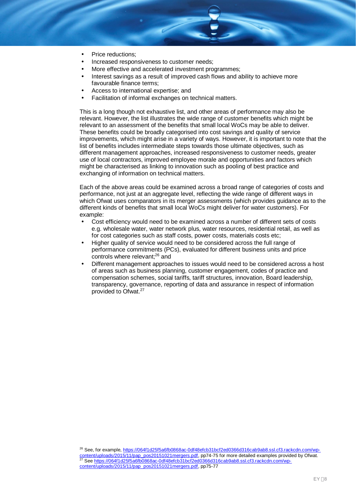- Price reductions;
- Increased responsiveness to customer needs;
- More effective and accelerated investment programmes;
- Interest savings as a result of improved cash flows and ability to achieve more favourable finance terms;
- Access to international expertise; and
- Facilitation of informal exchanges on technical matters.

This is a long though not exhaustive list, and other areas of performance may also be relevant. However, the list illustrates the wide range of customer benefits which might be relevant to an assessment of the benefits that small local WoCs may be able to deliver. These benefits could be broadly categorised into cost savings and quality of service improvements, which might arise in a variety of ways. However, it is important to note that the list of benefits includes intermediate steps towards those ultimate objectives, such as different management approaches, increased responsiveness to customer needs, greater use of local contractors, improved employee morale and opportunities and factors which might be characterised as linking to innovation such as pooling of best practice and exchanging of information on technical matters.

Each of the above areas could be examined across a broad range of categories of costs and performance, not just at an aggregate level, reflecting the wide range of different ways in which Ofwat uses comparators in its merger assessments (which provides guidance as to the different kinds of benefits that small local WoCs might deliver for water customers). For example:

- Cost efficiency would need to be examined across a number of different sets of costs e.g. wholesale water, water network plus, water resources, residential retail, as well as for cost categories such as staff costs, power costs, materials costs etc;
- Higher quality of service would need to be considered across the full range of performance commitments (PCs), evaluated for different business units and price controls where relevant;<sup>26</sup> and
- Different management approaches to issues would need to be considered across a host of areas such as business planning, customer engagement, codes of practice and compensation schemes, social tariffs, tariff structures, innovation, Board leadership, transparency, governance, reporting of data and assurance in respect of information provided to Ofwat.<sup>27</sup>

<sup>&</sup>lt;sup>26</sup> See, for example, https://064f1d25f5a6fb0868ac-0df48efcb31bcf2ed0366d316cab9ab8.ssl.cf3.rackcdn.com/wpontent/uploads/2015/11/pap\_pos20151021mergers.pdf, pp74-75 for more detailed examples provided by Ofwat. 27 See https://064f1d25f5a6fb0868ac-0df48efcb31bcf2ed0366d316cab9ab8.ssl.cf3.rackcdn.com/wp-<br>27 See https://064f1d25f5a6fb0868ac-0df48efcb31bcf2ed0366d316cab9ab8.ssl.cf3.rackcdn.com/wpcontent/uploads/2015/11/pap\_pos20151021mergers.pdf, pp75-77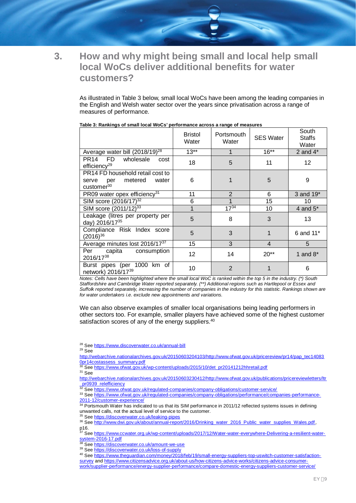

# **3. How and why might being small and local help small local WoCs deliver additional benefits for water customers?**

As illustrated in Table 3 below, small local WoCs have been among the leading companies in the English and Welsh water sector over the years since privatisation across a range of measures of performance.

|                                                                                                | <b>Bristol</b><br>Water | Portsmouth<br>Water | <b>SES Water</b> | South<br>Staffs<br>Water |
|------------------------------------------------------------------------------------------------|-------------------------|---------------------|------------------|--------------------------|
| Average water bill (2018/19) <sup>28</sup>                                                     | $13**$                  |                     | $16***$          | 2 and $4^*$              |
| wholesale<br>PR14 FD<br>cost<br>efficiency <sup>29</sup>                                       | 18                      | 5                   | 11               | 12 <sup>2</sup>          |
| PR14 FD household retail cost to<br>metered<br>water<br>serve<br>per<br>customer <sup>30</sup> | 6                       |                     | 5                | 9                        |
| PR09 water opex efficiency <sup>31</sup>                                                       | 11                      | $\overline{2}$      | 6                | 3 and 19*                |
| SIM score (2016/17) <sup>32</sup>                                                              | 6                       |                     | 15               | 10                       |
| SIM score (2011/12) <sup>33</sup>                                                              | 1                       | $17^{34}$           | 10               | 4 and $5^*$              |
| Leakage (litres per property per<br>day) 2016/1735                                             | 5                       | 8                   | 3                | 13                       |
| Compliance Risk Index score<br>$(2016)^{36}$                                                   | 5                       | 3                   | 1                | 6 and 11*                |
| Average minutes lost 2016/17 <sup>37</sup>                                                     | 15                      | 3                   | $\overline{4}$   | 5                        |
| Per<br>capita<br>consumption<br>2016/1738                                                      | 12                      | 14                  | $20**$           | 1 and $8^*$              |
| Burst pipes (per 1000 km of<br>network) 2016/1739                                              | 10                      | $\overline{2}$      |                  | 6                        |

#### **Table 3: Rankings of small local WoCs' performance across a range of measures**

*Notes: Cells have been highlighted where the small local WoC is ranked within the top 5 in the industry. (\*) South Staffordshire and Cambridge Water reported separately. (\*\*) Additional regions such as Hartlepool or Essex and Suffolk reported separately, increasing the number of companies in the industry for this statistic. Rankings shown are for water undertakers i.e. exclude new appointments and variations.*

We can also observe examples of smaller local organisations being leading performers in other sectors too. For example, smaller players have achieved some of the highest customer satisfaction scores of any of the energy suppliers.<sup>40</sup>

<sup>28</sup> See https://www.discoverwater.co.uk/annual-bill

 $29$  See

http://webarchive.nationalarchives.gov.uk/20150603204103/http://www.ofwat.gov.uk/pricereview/pr14/pap\_tec14083 Opr14costassess\_summary.pdf

<sup>30</sup> See https://www.ofwat.gov.uk/wp-content/uploads/2015/10/det\_pr20141212hhretail.pdf

<sup>31</sup> See

http://webarchive.nationalarchives.gov.uk/20150603230412/http://www.ofwat.gov.uk/publications/pricereviewletters/ltr pr0939\_relefficiency<br>32 Care to:

See https://www.ofwat.gov.uk/regulated-companies/company-obligations/customer-service/

33 See https://www.ofwat.gov.uk/regulated-companies/company-obligations/performance/companies-performance-2011-12/customer-experience/

<sup>34</sup> Portsmouth Water has indicated to us that its SIM performance in 2011/12 reflected systems issues in defining unwanted calls, not the actual level of service to the customer.

<sup>35</sup> See https://discoverwater.co.uk/leaking-pipes

36 See http://www.dwi.gov.uk/about/annual-report/2016/Drinking\_water\_2016\_Public\_water\_supplies\_Wales.pdf, p16.

<sup>37</sup> See https://www.ccwater.org.uk/wp-content/uploads/2017/12/Water-water-everywhere-Delivering-a-resilient-watersystem-2016-17.pdf system-2016-17.pdf<br><sup>38</sup> See https://discoverwater.co.uk/amount-we-use

<sup>39</sup> See https://discoverwater.co.uk/loss-of-supply

<sup>40</sup> See https://www.theguardian.com/money/2018/feb/19/small-energy-suppliers-top-uswitch-customer-satisfactionsurvey and https://www.citizensadvice.org.uk/about-us/how-citizens-advice-works/citizens-advice-consumerwork/supplier-performance/energy-supplier-performance/compare-domestic-energy-suppliers-customer-service/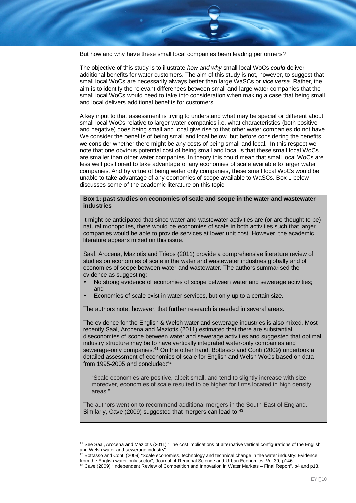But how and why have these small local companies been leading performers?

The objective of this study is to illustrate *how and why* small local WoCs *could* deliver additional benefits for water customers. The aim of this study is not, however, to suggest that small local WoCs are necessarily always better than large WaSCs or *vice versa*. Rather, the aim is to identify the relevant differences between small and large water companies that the small local WoCs would need to take into consideration when making a case that being small and local delivers additional benefits for customers.

A key input to that assessment is trying to understand what may be special or different about small local WoCs relative to larger water companies i.e. what characteristics (both positive and negative) does being small and local give rise to that other water companies do not have. We consider the benefits of being small and local below, but before considering the benefits we consider whether there might be any costs of being small and local. In this respect we note that one obvious potential cost of being small and local is that these small local WoCs are smaller than other water companies. In theory this could mean that small local WoCs are less well positioned to take advantage of any economies of scale available to larger water companies. And by virtue of being water only companies, these small local WoCs would be unable to take advantage of any economies of scope available to WaSCs. Box 1 below discusses some of the academic literature on this topic.

#### **Box 1: past studies on economies of scale and scope in the water and wastewater industries**

It might be anticipated that since water and wastewater activities are (or are thought to be) natural monopolies, there would be economies of scale in both activities such that larger companies would be able to provide services at lower unit cost. However, the academic literature appears mixed on this issue.

Saal, Arocena, Maziotis and Triebs (2011) provide a comprehensive literature review of studies on economies of scale in the water and wastewater industries globally and of economies of scope between water and wastewater. The authors summarised the evidence as suggesting:

- No strong evidence of economies of scope between water and sewerage activities; and
- Economies of scale exist in water services, but only up to a certain size.

The authors note, however, that further research is needed in several areas.

The evidence for the English & Welsh water and sewerage industries is also mixed. Most recently Saal, Arocena and Maziotis (2011) estimated that there are substantial diseconomies of scope between water and sewerage activities and suggested that optimal industry structure may be to have vertically integrated water-only companies and sewerage-only companies.<sup>41</sup> On the other hand, Bottasso and Conti (2009) undertook a detailed assessment of economies of scale for English and Welsh WoCs based on data from 1995-2005 and concluded: $42$ 

"Scale economies are positive, albeit small, and tend to slightly increase with size; moreover, economies of scale resulted to be higher for firms located in high density areas."

The authors went on to recommend additional mergers in the South-East of England. Similarly, Cave (2009) suggested that mergers can lead to:43

<sup>&</sup>lt;sup>41</sup> See Saal, Arocena and Maziotis (2011) "The cost implications of alternative vertical configurations of the English and Welsh water and sewerage industry".

<sup>42</sup> Bottasso and Conti (2009) "Scale economies, technology and technical change in the water industry: Evidence from the English water only sector", Journal of Regional Science and Urban Economics, Vol 39, p146.

 $^{43}$  Cave (2009) "Independent Review of Competition and Innovation in Water Markets – Final Report", p4 and p13.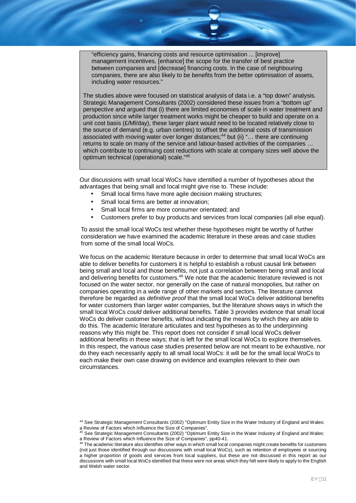"efficiency gains, financing costs and resource optimisation ... [improve] management incentives, [enhance] the scope for the transfer of best practice between companies and [decrease] financing costs. In the case of neighbouring companies, there are also likely to be benefits from the better optimisation of assets, including water resources."

The studies above were focused on statistical analysis of data i.e. a "top down" analysis. Strategic Management Consultants (2002) considered these issues from a "bottom up" perspective and argued that (i) there are limited economies of scale in water treatment and production since while larger treatment works might be cheaper to build and operate on a unit cost basis (£/Ml/day), these larger plant would need to be located relatively close to the source of demand (e.g. urban centres) to offset the additional costs of transmission associated with moving water over longer distances;<sup>44</sup> but (ii) "... there are continuing returns to scale on many of the service and labour-based activities of the companies … which contribute to continuing cost reductions with scale at company sizes well above the optimum technical (operational) scale."<sup>45</sup>

Our discussions with small local WoCs have identified a number of hypotheses about the advantages that being small and local might give rise to. These include:

- Small local firms have more agile decision making structures;
- Small local firms are better at innovation;
- Small local firms are more consumer orientated; and
- Customers prefer to buy products and services from local companies (all else equal).

To assist the small local WoCs test whether these hypotheses might be worthy of further consideration we have examined the academic literature in these areas and case studies from some of the small local WoCs.

We focus on the academic literature because in order to determine that small local WoCs are able to deliver benefits for customers it is helpful to establish a robust causal link between being small and local and those benefits, not just a correlation between being small and local and delivering benefits for customers.<sup>46</sup> We note that the academic literature reviewed is not focused on the water sector, nor generally on the case of natural monopolies, but rather on companies operating in a wide range of other markets and sectors. The literature cannot therefore be regarded as *definitive proof* that the small local WoCs deliver additional benefits for water customers than larger water companies, but the literature shows ways in which the small local WoCs *could* deliver additional benefits. Table 3 provides evidence that small local WoCs do deliver customer benefits, without indicating the means by which they are able to do this. The academic literature articulates and test hypotheses as to the underpinning reasons why this might be. This report does not consider if small local WoCs deliver additional benefits in these ways; that is left for the small local WoCs to explore themselves. In this respect, the various case studies presented below are not meant to be exhaustive, nor do they each necessarily apply to all small local WoCs: it will be for the small local WoCs to each make their own case drawing on evidence and examples relevant to their own circumstances.

<sup>44</sup> See Strategic Management Consultants (2002) "Optimum Entity Size in the Water Industry of England and Wales: a Review of Factors which Influence the Size of Companies".

<sup>&</sup>lt;sup>45</sup> See Strategic Management Consultants (2002) "Optimum Entity Size in the Water Industry of England and Wales: a Review of Factors which Influence the Size of Companies", pp40-41.

 $46$  The academic literature also identifies other ways in which small local companies might create benefits for customers (not just those identified through our discussions with small local WoCs), such as retention of employees or sourcing a higher proportion of goods and services from local suppliers, but these are not discussed in this report as our discussions with small local WoCs identified that these were not areas which they felt were likely to apply to the English and Welsh water sector.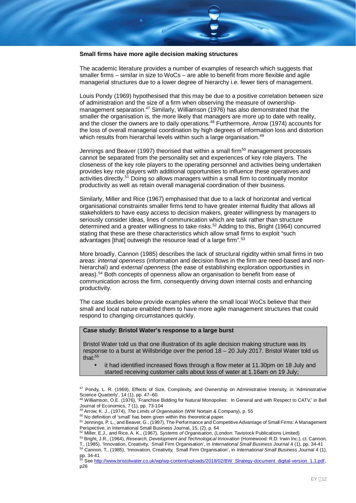#### **Small firms have more agile decision making structures**

The academic literature provides a number of examples of research which suggests that smaller firms – similar in size to WoCs – are able to benefit from more flexible and agile managerial structures due to a lower degree of hierarchy i.e. fewer tiers of management.

Louis Pondy (1969) hypothesised that this may be due to a positive correlation between size of administration and the size of a firm when observing the measure of ownershipmanagement separation.<sup>47</sup> Similarly, Williamson (1976) has also demonstrated that the smaller the organisation is, the more likely that managers are more up to date with reality, and the closer the owners are to daily operations.<sup>48</sup> Furthermore, Arrow (1974) accounts for the loss of overall managerial coordination by high degrees of information loss and distortion which results from hierarchal levels within such a large organisation.<sup>49</sup>

Jennings and Beaver (1997) theorised that within a small firm<sup>50</sup> management processes cannot be separated from the personality set and experiences of key role players. The closeness of the key role players to the operating personnel and activities being undertaken provides key role players with additional opportunities to influence these operatives and activities directly.<sup>51</sup> Doing so allows managers within a small firm to continually monitor productivity as well as retain overall managerial coordination of their business.

Similarly, Miller and Rice (1967) emphasised that due to a lack of horizontal and vertical organisational constraints smaller firms tend to have greater internal fluidity that allows all stakeholders to have easy access to decision makers, greater willingness by managers to seriously consider ideas, lines of communication which are task rather than structure determined and a greater willingness to take risks.<sup>52</sup> Adding to this, Bright (1964) concurred stating that these are these characteristics which allow small firms to exploit "such advantages [that] outweigh the resource lead of a large firm".<sup>53</sup>

More broadly, Cannon (1985) describes the lack of structural rigidity within small firms in two areas: *internal openness* (information and decision flows in the firm are need-based and nonhierarchal) and *external openness* (the ease of establishing exploration opportunities in areas).<sup>54</sup> Both concepts of openness allow an organisation to benefit from ease of communication across the firm, consequently driving down internal costs and enhancing productivity.

The case studies below provide examples where the small local WoCs believe that their small and local nature enabled them to have more agile management structures that could respond to changing circumstances quickly.

#### **Case study: Bristol Water's response to a large burst**

Bristol Water told us that one illustration of its agile decision making structure was its response to a burst at Willsbridge over the period 18 – 20 July 2017. Bristol Water told us that: $55$ 

 it had identified increased flows through a flow meter at 11.30pm on 18 July and started receiving customer calls about loss of water at 1.16am on 19 July;

<sup>48</sup> Williamson, O.E. (1976), 'Franchise Bidding for Natural Monopolies: In General and with Respect to CATV,' in Bell Journal of Economics, 7 (1), pp. 73-104

<sup>49</sup> Arrow, K. J., (1974), *The Limits of Organisation* (WW Nortain & Company), p. 55

<sup>50</sup> No definition of 'small' has been given within this theoretical paper.

<sup>52</sup> Miller, E.J., and Rice, A. K., (1967), *Systems of Organisation*, (London: Tavistock Publications Limited)

T., (1985), 'Innovation, Creativity, Small Firm Organisation', in *International Small Business Journal* 4 (1), pp. 34-41 <sup>54</sup> Cannon, T., (1985), 'Innovation, Creativity, Small Firm Organisation', in *International Small Business Journal* 4 (1), pp. 34-41

55 See http://www.bristolwater.co.uk/wp/wp-content/uploads/2018/02/BW\_Strategy-document\_digital-version\_1.1.pdf, p26

<sup>&</sup>lt;sup>47</sup> Pondy, L. R. (1969), Effects of Size, Complexity, and Ownership on Administrative Intensity, in 'Administrative Science Quarterly', 14 (1), pp. 47–60.

<sup>51</sup> Jennings, P. L., and Beaver, G., (1997), The Performance and Competitive Advantage of Small Firms: A Management Perspective, in International Small Business Journal, 15, (2), p. 64

<sup>53</sup> Bright, J.R., (1964), *Research, Development and Technological Innovation* (Homewood: R.D. Irwin Inc.), ct. Cannon,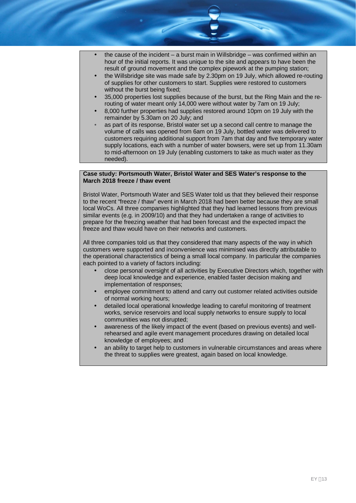- the cause of the incident a burst main in Willsbridge was confirmed within an hour of the initial reports. It was unique to the site and appears to have been the result of ground movement and the complex pipework at the pumping station;
- the Willsbridge site was made safe by 2.30pm on 19 July, which allowed re-routing of supplies for other customers to start. Supplies were restored to customers without the burst being fixed;
- 35,000 properties lost supplies because of the burst, but the Ring Main and the rerouting of water meant only 14,000 were without water by 7am on 19 July;
- 8,000 further properties had supplies restored around 10pm on 19 July with the remainder by 5.30am on 20 July; and
- as part of its response, Bristol water set up a second call centre to manage the volume of calls was opened from 6am on 19 July, bottled water was delivered to customers requiring additional support from 7am that day and five temporary water supply locations, each with a number of water bowsers, were set up from 11.30am to mid-afternoon on 19 July (enabling customers to take as much water as they needed).

#### **Case study: Portsmouth Water, Bristol Water and SES Water's response to the March 2018 freeze / thaw event**

Bristol Water, Portsmouth Water and SES Water told us that they believed their response to the recent "freeze / thaw" event in March 2018 had been better because they are small local WoCs. All three companies highlighted that they had learned lessons from previous similar events (e.g. in 2009/10) and that they had undertaken a range of activities to prepare for the freezing weather that had been forecast and the expected impact the freeze and thaw would have on their networks and customers.

All three companies told us that they considered that many aspects of the way in which customers were supported and inconvenience was minimised was directly attributable to the operational characteristics of being a small local company. In particular the companies each pointed to a variety of factors including:

- close personal oversight of all activities by Executive Directors which, together with deep local knowledge and experience, enabled faster decision making and implementation of responses;
- employee commitment to attend and carry out customer related activities outside of normal working hours;
- detailed local operational knowledge leading to careful monitoring of treatment works, service reservoirs and local supply networks to ensure supply to local communities was not disrupted;
- awareness of the likely impact of the event (based on previous events) and wellrehearsed and agile event management procedures drawing on detailed local knowledge of employees; and
- an ability to target help to customers in vulnerable circumstances and areas where the threat to supplies were greatest, again based on local knowledge.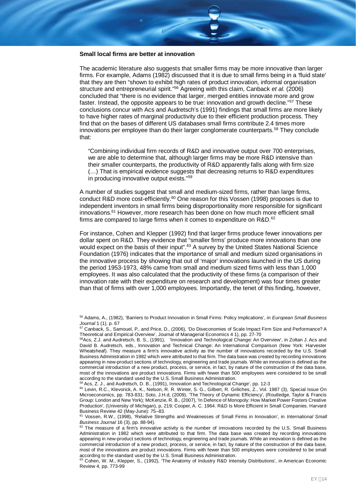#### **Small local firms are better at innovation**

The academic literature also suggests that smaller firms may be more innovative than larger firms. For example, Adams (1982) discussed that it is due to small firms being in a 'fluid state' that they are then "shown to exhibit high rates of product innovation, informal organisation structure and entrepreneurial spirit."<sup>56</sup> Agreeing with this claim, Canback *et al.* (2006) concluded that "there is no evidence that larger, merged entities innovate more and grow faster. Instead, the opposite appears to be true: innovation and growth decline."<sup>57</sup> These conclusions concur with Acs and Audretsch's (1991) findings that small firms are more likely to have higher rates of marginal productivity due to their efficient production process. They find that on the bases of different US databases small firms contribute 2.4 times more innovations per employee than do their larger conglomerate counterparts.<sup>58</sup> They conclude that:

"Combining individual firm records of R&D and innovative output over 700 enterprises, we are able to determine that, although larger firms may be more R&D intensive than their smaller counterparts, the productivity of R&D apparently falls along with firm size (…) That is empirical evidence suggests that decreasing returns to R&D expenditures in producing innovative output exists."<sup>59</sup>

A number of studies suggest that small and medium-sized firms, rather than large firms, conduct R&D more cost-efficiently.<sup>60</sup> One reason for this Vossen (1998) proposes is due to independent inventors in small firms being disproportionality more responsible for significant innovations.<sup>61</sup> However, more research has been done on how much more efficient small firms are compared to large firms when it comes to expenditure on R&D.<sup>62</sup>

For instance, Cohen and Klepper (1992) find that larger firms produce fewer innovations per dollar spent on R&D. They evidence that "smaller firms' produce more innovations than one would expect on the basis of their input".<sup>63</sup> A survey by the United States National Science Foundation (1976) indicates that the importance of small and medium sized organisations in the innovative process by showing that out of 'major' innovations launched in the US during the period 1953-1973, 48% came from small and medium sized firms with less than 1,000 employees. It was also calculated that the productivity of these firms (a comparison of their innovation rate with their expenditure on research and development) was four times greater than that of firms with over 1,000 employees. Importantly, the tenet of this finding, however,

<sup>56</sup> Adams, A., (1982), 'Barriers to Product Innovation in Small Firms: Policy Implications', in *European Small Business Journal* 1 (1), p. 67

<sup>57</sup> Canback, S., Samouel, P., and Price, D., (2006), 'Do Diseconomies of Scale Impact Firm Size and Performance? A Theoretical and Empirical Overview', Journal of Managerial Economics 4 1), pp. 27-70

<sup>&</sup>lt;sup>58</sup>Acs, Z.J. and Audretsch, B. S., (1991), 'Innovation and Technological Change: An Overview', in Zoltan J. Acs and David B. Audretsch, eds., Innovation and Technical Change: An International Comparison (New York: Harvester Wheatsheaf). They measure a firm's innovative activity as the number of innovations recorded by the U.S. Small Business Administration in 1982 which were attributed to that firm. The data base was created by recording innovations appearing in new-product sections of technology, engineering and trade journals. While an innovation is defined as the commercial introduction of a new product, process, or service, in fact, by nature of the construction of the data base, most of the innovations are product innovations. Firms with fewer than 500 employees were considered to be small according to the standard used by the U.S. Small Business Administration.

<sup>&</sup>lt;sup>59</sup> Acs, Z. J., and Audretsch, D. B., (1991), Innovation and Technological Change', pp. 12-3

<sup>60</sup> Levin, R.C., Klevorick, A. K., Nelson, R. R. Winter, S. G., Gilbert, R. Griliches, Z., Vol. 1987 (3), Special Issue On Microeconomics, pp. 783-831; Soto, J.H.d, (2009), 'The Theory of Dynamic Efficiency', (Routledge, Taylor & Francis Group: London and New York); McKenzie, R. B., (2007), 'In Defence of Monopoly: How Market Power Fosters Creative Production', (University of Michigan), p, 219; Cooper, A. C. 1964. R&D Is More Efficient in Small Companies. Harvard Business Review 42 (May-June): 75–83.

<sup>61</sup> Vossen, R.W., (1998), 'Relative Strengths and Weaknesses of Small Firms in Innovation', in *International Small Business Journal* 16 (3), pp. 88-94).

 $62$  The measure of a firm's innovative activity is the number of innovations recorded by the U.S. Small Business Administration in 1982 which were attributed to that firm. The data base was created by recording innovations appearing in new-product sections of technology, engineering and trade journals. While an innovation is defined as the commercial introduction of a new product, process, or service, in fact, by nature of the construction of the data base, most of the innovations are product innovations. Firms with fewer than 500 employees were considered to be small according to the standard used by the U.S. Small Business Administration.

<sup>63</sup> Cohen, W. M., Klepper, S., (1992), 'The Anatomy of Industry R&D Intensity Distributions', in American Economic Review 4, pp. 773-99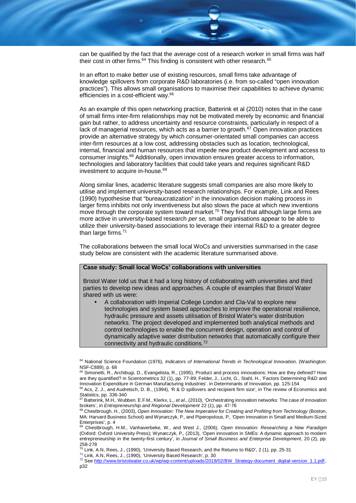can be qualified by the fact that the *average* cost of a research worker in small firms was half their cost in other firms.<sup>64</sup> This finding is consistent with other research.<sup>65</sup>

In an effort to make better use of existing resources, small firms take advantage of knowledge spillovers from corporate R&D laboratories (i.e. from so-called "open innovation practices"). This allows small organisations to maximise their capabilities to achieve dynamic efficiencies in a cost-efficient way.<sup>66</sup>

As an example of this open networking practice, Batterink et al (2010) notes that in the case of small firms inter-firm relationships may not be motivated merely by economic and financial gain but rather, to address uncertainty and resource constraints, particularly in respect of a lack of managerial resources, which acts as a barrier to growth.<sup>67</sup> Open innovation practices provide an alternative strategy by which consumer-orientated small companies can access inter-firm resources at a low cost, addressing obstacles such as location, technological, internal, financial and human resources that impede new product development and access to consumer insights.<sup>68</sup> Additionally, open innovation ensures greater access to information, technologies and laboratory facilities that could take years and requires significant R&D investment to acquire in-house.<sup>69</sup>

Along similar lines, academic literature suggests small companies are also more likely to utilise and implement university-based research relationships. For example, Link and Rees (1990) hypothesise that "bureaucratization" in the innovation decision making process in larger firms inhibits not only inventiveness but also slows the pace at which new inventions move through the corporate system toward market.<sup>70</sup> They find that although large firms are more active in university-based research *per se,* small organisations appear to be able to utilize their university-based associations to leverage their internal R&D to a greater degree than large firms. $71$ 

The collaborations between the small local WoCs and universities summarised in the case study below are consistent with the academic literature summarised above.

#### **Case study: Small local WoCs' collaborations with universities**

Bristol Water told us that it had a long history of collaborating with universities and third parties to develop new ideas and approaches. A couple of examples that Bristol Water shared with us were:

 A collaboration with Imperial College London and Cla-Val to explore new technologies and system based approaches to improve the operational resilience, hydraulic pressure and assets utilisation of Bristol Water's water distribution networks. The project developed and implemented both analytical methods and control technologies to enable the concurrent design, operation and control of dynamically adaptive water distribution networks that automatically configure their connectivity and hydraulic conditions.<sup>72</sup>

<sup>64</sup> National Science Foundation (1976), *Indicators of International Trends in Technological Innovation,* (Washington: NSF-C889), p. 68

<sup>65</sup> Simonetti, R., Archibugi, D., Evangelista, R., (1995), Product and process innovations: How are they defined? How are they quantified? in Scientometrics 32 (1), pp. 77-89; Felder, J., Licht, G., Stahl, H., 'Factors Determining R&D and Innovation Expenditure in German Manufacturing Industries'. in Determinants of Innovation, pp. 125-154

 $66$  Acs, Z. J., and Audretsch, D. B., (1994), 'R & D spillovers and recipient firm size', in The review of Economics and Statistics, pp. 336-340

<sup>67</sup> Batterink, M.H., Wubben. E.F.M., Klerkx, L., *et al.,* (2010), 'Orchestrating innovation networks: The case of innovation brokers', in *Entrepreneurship and Regional Development* 22 (1), pp. 47-76

<sup>68</sup> Chestbrough, H., (2003), *Open Innovation: The New Imperative for Creating and Profiting from Technology* (Boston, MA: Harvard Business School) and Wynarczyk, P., and Piperopolous, P., 'Open Innovation in Small and Medium-Sized Enterprises', p. 4

<sup>69</sup> Chestbrough, H.M., Vanhaverbeke, W., and West J., (2006), *Open Innovation: Researching a New Paradigm* (Oxford: Oxford University Press); Wynarczyk, P., (2013), 'Open innovation in SMEs: A dynamic approach to modern entrepreneurship in the twenty-first century', in *Journal of Small Business and Enterprise Development*, 20 (2), pp. 258-278

 $^{70}$  Link, A.N, Rees, J., (1990), 'University Based Research, and the Returns to R&D', 2 (1), pp. 25-31

<sup>71</sup> Link, A.N, Rees, J., (1990), 'University Based Research', p. 30

<sup>72</sup> See http://www.bristolwater.co.uk/wp/wp-content/uploads/2018/02/BW\_Strategy-document\_digital-version\_1.1.pdf, p32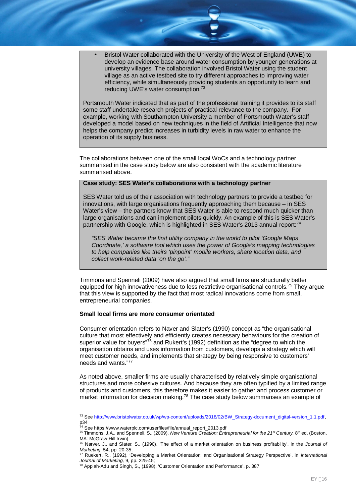Bristol Water collaborated with the University of the West of England (UWE) to develop an evidence base around water consumption by younger generations at university villages. The collaboration involved Bristol Water using the student village as an active testbed site to try different approaches to improving water efficiency, while simultaneously providing students an opportunity to learn and reducing UWE's water consumption.<sup>73</sup>

Portsmouth Water indicated that as part of the professional training it provides to its staff some staff undertake research projects of practical relevance to the company. For example, working with Southampton University a member of Portsmouth Water's staff developed a model based on new techniques in the field of Artificial Intelligence that now helps the company predict increases in turbidity levels in raw water to enhance the operation of its supply business.

The collaborations between one of the small local WoCs and a technology partner summarised in the case study below are also consistent with the academic literature summarised above.

#### **Case study: SES Water's collaborations with a technology partner**

SES Water told us of their association with technology partners to provide a testbed for innovations, with large organisations frequently approaching them because – in SES Water's view – the partners know that SES Water is able to respond much quicker than large organisations and can implement pilots quickly. An example of this is SES Water's partnership with Google, which is highlighted in SES Water's 2013 annual report:<sup>74</sup>

*"SES Water became the first utility company in the world to pilot 'Google Maps Coordinate,' a software tool which uses the power of Google's mapping technologies to help companies like theirs 'pinpoint' mobile workers, share location data, and collect work-related data 'on the go'."*

Timmons and Spenneli (2009) have also argued that small firms are structurally better equipped for high innovativeness due to less restrictive organisational controls.<sup>75</sup> They argue that this view is supported by the fact that most radical innovations come from small, entrepreneurial companies.

#### **Small local firms are more consumer orientated**

Consumer orientation refers to Naver and Slater's (1990) concept as "the organisational culture that most effectively and efficiently creates necessary behaviours for the creation of superior value for buyers"76 and Rukert's (1992) definition as the "degree to which the organisation obtains and uses information from customers, develops a strategy which will meet customer needs, and implements that strategy by being responsive to customers' needs and wants."<sup>77</sup>

As noted above, smaller firms are usually characterised by relatively simple organisational structures and more cohesive cultures. And because they are often typified by a limited range of products and customers, this therefore makes it easier to gather and process customer or market information for decision making.<sup>78</sup> The case study below summarises an example of

<sup>&</sup>lt;sup>73</sup> See http://www.bristolwater.co.uk/wp/wp-content/uploads/2018/02/BW\_Strategy-document\_digital-version\_1.1.pdf, p34

<sup>74</sup> See https://www.waterplc.com/userfiles/file/annual\_report\_2013.pdf

<sup>75</sup> Timmons, J.A., and Spenneli, S., (2009), *New Venture Creation: Entrepreneurial for the 21st Century,* 8 th ed. (Boston, MA: McGraw-Hill Irwin)

<sup>76</sup> Narver, J., and Slater, S., (1990), 'The effect of a market orientation on business profitability', in the *Journal of Marketing,* 54, pp. 20-35;

<sup>77</sup> Ruekert, R., (1992), 'Developing a Market Orientation: and Organisational Strategy Perspective', in *International Journal of Marketing,* 9, pp. 225-45;

 $78$  Appiah-Adu and Singh, S., (1998), 'Customer Orientation and Performance', p. 387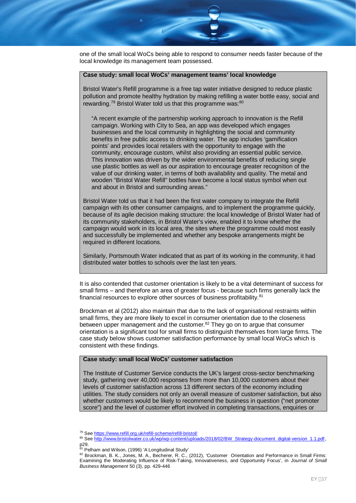one of the small local WoCs being able to respond to consumer needs faster because of the local knowledge its management team possessed.

#### **Case study: small local WoCs' management teams' local knowledge**

Bristol Water's Refill programme is a free tap water initiative designed to reduce plastic pollution and promote healthy hydration by making refilling a water bottle easy, social and rewarding.<sup>79</sup> Bristol Water told us that this programme was: $80$ 

"A recent example of the partnership working approach to innovation is the Refill campaign. Working with City to Sea, an app was developed which engages businesses and the local community in highlighting the social and community benefits in free public access to drinking water. The app includes 'gamification points' and provides local retailers with the opportunity to engage with the community, encourage custom, whilst also providing an essential public service. This innovation was driven by the wider environmental benefits of reducing single use plastic bottles as well as our aspiration to encourage greater recognition of the value of our drinking water, in terms of both availability and quality. The metal and wooden "Bristol Water Refill" bottles have become a local status symbol when out and about in Bristol and surrounding areas."

Bristol Water told us that it had been the first water company to integrate the Refill campaign with its other consumer campaigns, and to implement the programme quickly, because of its agile decision making structure: the local knowledge of Bristol Water had of its community stakeholders, in Bristol Water's view, enabled it to know whether the campaign would work in its local area, the sites where the programme could most easily and successfully be implemented and whether any bespoke arrangements might be required in different locations.

Similarly, Portsmouth Water indicated that as part of its working in the community, it had distributed water bottles to schools over the last ten years.

It is also contended that customer orientation is likely to be a vital determinant of success for small firms – and therefore an area of greater focus - because such firms generally lack the financial resources to explore other sources of business profitability.<sup>81</sup>

Brockman et al (2012) also maintain that due to the lack of organisational restraints within small firms, they are more likely to excel in consumer orientation due to the closeness between upper management and the customer.<sup>82</sup> They go on to argue that consumer orientation is a significant tool for small firms to distinguish themselves from large firms. The case study below shows customer satisfaction performance by small local WoCs which is consistent with these findings.

#### **Case study: small local WoCs' customer satisfaction**

The Institute of Customer Service conducts the UK's largest cross-sector benchmarking study, gathering over 40,000 responses from more than 10,000 customers about their levels of customer satisfaction across 13 different sectors of the economy including utilities. The study considers not only an overall measure of customer satisfaction, but also whether customers would be likely to recommend the business in question ("net promoter score") and the level of customer effort involved in completing transactions, enquiries or

<sup>79</sup> See https://www.refill.org.uk/refill-scheme/refill-bristol/

<sup>80</sup> See http://www.bristolwater.co.uk/wp/wp-content/uploads/2018/02/BW\_Strategy-document\_digital-version\_1.1.pdf, p29.

<sup>&</sup>lt;sup>81</sup> Pelham and Wilson, (1996) 'A Longitudinal Study'

<sup>82</sup> Brockman, B. K., Jones, M. A., Becherer, R. C., (2012), 'Customer Orientation and Performance in Small Firms: Examining the Moderating Influence of Risk-Taking, Innovativeness, and Opportunity Focus', in *Journal of Small Business Management* 50 (3), pp. 429-446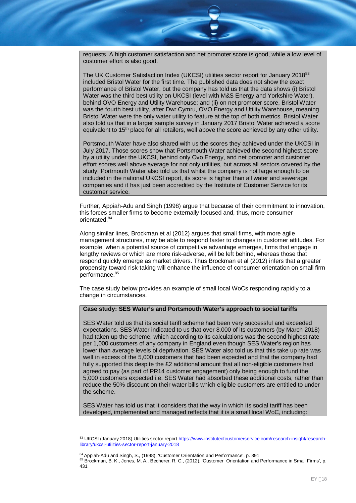requests. A high customer satisfaction and net promoter score is good, while a low level of customer effort is also good.

The UK Customer Satisfaction Index (UKCSI) utilities sector report for January 2018<sup>83</sup> included Bristol Water for the first time. The published data does not show the exact performance of Bristol Water, but the company has told us that the data shows (i) Bristol Water was the third best utility on UKCSI (level with M&S Energy and Yorkshire Water), behind OVO Energy and Utility Warehouse; and (ii) on net promoter score, Bristol Water was the fourth best utility, after Dwr Cymru, OVO Energy and Utility Warehouse, meaning Bristol Water were the only water utility to feature at the top of both metrics. Bristol Water also told us that in a larger sample survey in January 2017 Bristol Water achieved a score equivalent to 15<sup>th</sup> place for all retailers, well above the score achieved by any other utility.

Portsmouth Water have also shared with us the scores they achieved under the UKCSI in July 2017. Those scores show that Portsmouth Water achieved the second highest score by a utility under the UKCSI, behind only Ovo Energy, and net promoter and customer effort scores well above average for not only utilities, but across all sectors covered by the study. Portmouth Water also told us that whilst the company is not large enough to be included in the national UKCSI report, its score is higher than all water and sewerage companies and it has just been accredited by the Institute of Customer Service for its customer service.

Further, Appiah-Adu and Singh (1998) argue that because of their commitment to innovation, this forces smaller firms to become externally focused and, thus, more consumer orientated.<sup>84</sup>

Along similar lines, Brockman et al (2012) argues that small firms, with more agile management structures, may be able to respond faster to changes in customer attitudes. For example, when a potential source of competitive advantage emerges, firms that engage in lengthy reviews or which are more risk-adverse, will be left behind, whereas those that respond quickly emerge as market drivers. Thus Brockman et al (2012) infers that a greater propensity toward risk-taking will enhance the influence of consumer orientation on small firm performance.<sup>85</sup>

The case study below provides an example of small local WoCs responding rapidly to a change in circumstances.

#### **Case study: SES Water's and Portsmouth Water's approach to social tariffs**

SES Water told us that its social tariff scheme had been very successful and exceeded expectations. SES Water indicated to us that over 8,000 of its customers (by March 2018) had taken up the scheme, which according to its calculations was the second highest rate per 1,000 customers of any company in England even though SES Water's region has lower than average levels of deprivation. SES Water also told us that this take up rate was well in excess of the 5,000 customers that had been expected and that the company had fully supported this despite the £2 additional amount that all non-eligible customers had agreed to pay (as part of PR14 customer engagement) only being enough to fund the 5,000 customers expected i.e. SES Water had absorbed these additional costs, rather than reduce the 50% discount on their water bills which eligible customers are entitled to under the scheme.

SES Water has told us that it considers that the way in which its social tariff has been developed, implemented and managed reflects that it is a small local WoC, including:

<sup>83</sup> UKCSI (January 2018) Utilities sector report https://www.instituteofcustomerservice.com/research-insight/researchlibrary/ukcsi-utilities-sector-report-january-2018

<sup>84</sup> Appiah-Adu and Singh, S., (1998), 'Customer Orientation and Performance', p. 391

<sup>85</sup> Brockman, B. K., Jones, M. A., Becherer, R. C., (2012), 'Customer Orientation and Performance in Small Firms', p. 431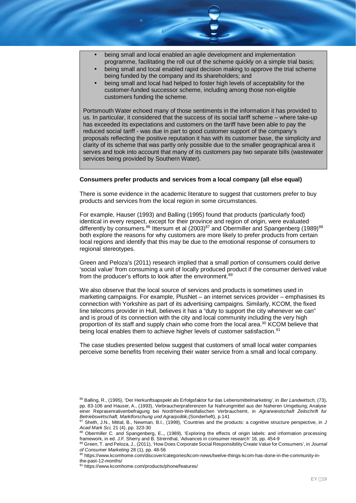- being small and local enabled an agile development and implementation programme, facilitating the roll out of the scheme quickly on a simple trial basis;
- being small and local enabled rapid decision making to approve the trial scheme being funded by the company and its shareholders; and
- being small and local had helped to foster high levels of acceptability for the customer-funded successor scheme, including among those non-eligible customers funding the scheme.

Portsmouth Water echoed many of those sentiments in the information it has provided to us. In particular, it considered that the success of its social tariff scheme – where take-up has exceeded its expectations and customers on the tariff have been able to pay the reduced social tariff - was due in part to good customer support of the company's proposals reflecting the positive reputation it has with its customer base, the simplicity and clarity of its scheme that was partly only possible due to the smaller geographical area it serves and took into account that many of its customers pay two separate bills (wastewater services being provided by Southern Water).

#### **Consumers prefer products and services from a local company (all else equal)**

There is some evidence in the academic literature to suggest that customers prefer to buy products and services from the local region in some circumstances.

For example, Hauser (1993) and Balling (1995) found that products (particularly food) identical in every respect, except for their province and region of origin, were evaluated differently by consumers. $86$  Ittersum et al  $(2003)^{87}$  and Obermiller and Spangenberg  $(1989)^{88}$ both explore the reasons for why customers are more likely to prefer products from certain local regions and identify that this may be due to the emotional response of consumers to regional stereotypes.

Green and Peloza's (2011) research implied that a small portion of consumers could derive 'social value' from consuming a unit of locally produced product if the consumer derived value from the producer's efforts to look after the environment.<sup>89</sup>

We also observe that the local source of services and products is sometimes used in marketing campaigns. For example, PlusNet – an internet services provider – emphasises its connection with Yorkshire as part of its advertising campaigns. Similarly, KCOM, the fixed line telecoms provider in Hull, believes it has a "duty to support the city whenever we can" and is proud of its connection with the city and local community including the very high proportion of its staff and supply chain who come from the local area.<sup>90</sup> KCOM believe that being local enables them to achieve higher levels of customer satisfaction.<sup>91</sup>

The case studies presented below suggest that customers of small local water companies perceive some benefits from receiving their water service from a small and local company.

<sup>86</sup> Balling, R., (1995), 'Der Herkunftsapspekt als Erfolgsfaktor fur das Lebensmittelmarketing', in *Ber Landwirtsch,* (73), pp. 83-106 and Hauser, A., (1993), Verbraucherpraferenzen fur Nahrungmittel aus der Naheren Umgebung; Analyse einer Reprasenrativenbefragung bei Nordrhein-Westfalischen Verbrauchernt, in *Agrarwiestschaft Zeitschrift fur Betriebswirtschaft, Marktforschung und Agrarpolitik,*(Sonderheft), p.141

<sup>87</sup> Sheth, J.N., Mittal, B., Newman, B.I., (1999), 'Countries and the products: a cognitive structure perspective, in J *Acad Mark Sci,* 21 (4), pp. 323-30

<sup>88</sup> Obermiller C. and Spangenberg, E.,, (1989), 'Exploring the effects of origin labels: and information processing framework, in ed. J.F. Sherry and B. Strernthal, 'Advances in consumer research' 16, pp. 454-9

<sup>89</sup> Green, T. and Peloza, J., (2011), 'How Does Corporate Social Responsibility Create Value for Consumers', in *Journal of Consumer Marketing* 28 (1), pp. 48-56

<sup>90</sup> https://www.kcomhome.com/discover/categories/kcom-news/twelve-things-kcom-has-done-in-the-community-inthe-past-12-months/

<sup>91</sup> https://www.kcomhome.com/products/phone/features/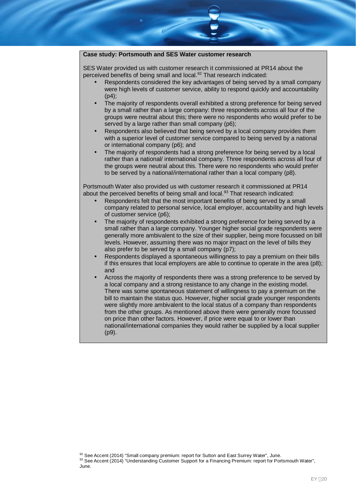### **Case study: Portsmouth and SES Water customer research**

SES Water provided us with customer research it commissioned at PR14 about the perceived benefits of being small and local.<sup>92</sup> That research indicated:

- Respondents considered the key advantages of being served by a small company were high levels of customer service, ability to respond quickly and accountability  $(p4)$ :
- The majority of respondents overall exhibited a strong preference for being served by a small rather than a large company: three respondents across all four of the groups were neutral about this; there were no respondents who would prefer to be served by a large rather than small company (p6):
- Respondents also believed that being served by a local company provides them with a superior level of customer service compared to being served by a national or international company (p6); and
- The majority of respondents had a strong preference for being served by a local rather than a national/ international company. Three respondents across all four of the groups were neutral about this. There were no respondents who would prefer to be served by a national/international rather than a local company (p8).

Portsmouth Water also provided us with customer research it commissioned at PR14 about the perceived benefits of being small and local.<sup>93</sup> That research indicated:

- Respondents felt that the most important benefits of being served by a small company related to personal service, local employer, accountability and high levels of customer service (p6);
- The majority of respondents exhibited a strong preference for being served by a small rather than a large company. Younger higher social grade respondents were generally more ambivalent to the size of their supplier, being more focussed on bill levels. However, assuming there was no major impact on the level of bills they also prefer to be served by a small company (p7);
- Respondents displayed a spontaneous willingness to pay a premium on their bills if this ensures that local employers are able to continue to operate in the area  $(p8)$ ; and
- Across the majority of respondents there was a strong preference to be served by a local company and a strong resistance to any change in the existing model. There was some spontaneous statement of willingness to pay a premium on the bill to maintain the status quo. However, higher social grade younger respondents were slightly more ambivalent to the local status of a company than respondents from the other groups. As mentioned above there were generally more focussed on price than other factors. However, if price were equal to or lower than national/international companies they would rather be supplied by a local supplier (p9).

<sup>92</sup> See Accent (2014) "Small company premium: report for Sutton and East Surrey Water", June. 93 See Accent (2014) "Understanding Customer Support for a Financing Premium: report for Portsmouth Water", June.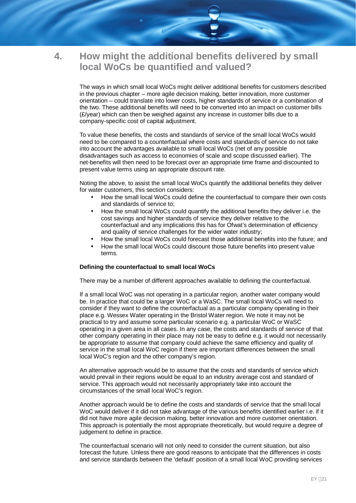# **4. How might the additional benefits delivered by small local WoCs be quantified and valued?**

The ways in which small local WoCs might deliver additional benefits for customers described in the previous chapter – more agile decision making, better innovation, more customer orientation – could translate into lower costs, higher standards of service or a combination of the two. These additional benefits will need to be converted into an impact on customer bills (£/year) which can then be weighed against any increase in customer bills due to a company-specific cost of capital adjustment.

To value these benefits, the costs and standards of service of the small local WoCs would need to be compared to a counterfactual where costs and standards of service do not take into account the advantages available to small local WoCs (net of any possible disadvantages such as access to economies of scale and scope discussed earlier). The net-benefits will then need to be forecast over an appropriate time frame and discounted to present value terms using an appropriate discount rate.

Noting the above, to assist the small local WoCs quantify the additional benefits they deliver for water customers, this section considers:

- How the small local WoCs could define the counterfactual to compare their own costs and standards of service to;
- How the small local WoCs could quantify the additional benefits they deliver i.e. the cost savings and higher standards of service they deliver relative to the counterfactual and any implications this has for Ofwat's determination of efficiency and quality of service challenges for the wider water industry;
- How the small local WoCs could forecast those additional benefits into the future; and
- How the small local WoCs could discount those future benefits into present value terms.

#### **Defining the counterfactual to small local WoCs**

There may be a number of different approaches available to defining the counterfactual.

If a small local WoC was not operating in a particular region, another water company would be. In practice that could be a larger WoC or a WaSC. The small local WoCs will need to consider if they want to define the counterfactual as a particular company operating in their place e.g. Wessex Water operating in the Bristol Water region. We note it may not be practical to try and assume some particular scenario e.g. a particular WoC or WaSC operating in a given area in all cases. In any case, the costs and standards of service of that other company operating in their place may not be easy to define e.g. it would not necessarily be appropriate to assume that company could achieve the same efficiency and quality of service in the small local WoC region if there are important differences between the small local WoC's region and the other company's region.

An alternative approach would be to assume that the costs and standards of service which would prevail in their regions would be equal to an industry average cost and standard of service. This approach would not necessarily appropriately take into account the circumstances of the small local WoC's region.

Another approach would be to define the costs and standards of service that the small local WoC would deliver if it did not take advantage of the various benefits identified earlier i.e. if it did not have more agile decision making, better innovation and more customer orientation. This approach is potentially the most appropriate theoretically, but would require a degree of judgement to define in practice.

The counterfactual scenario will not only need to consider the current situation, but also forecast the future. Unless there are good reasons to anticipate that the differences in costs and service standards between the 'default' position of a small local WoC providing services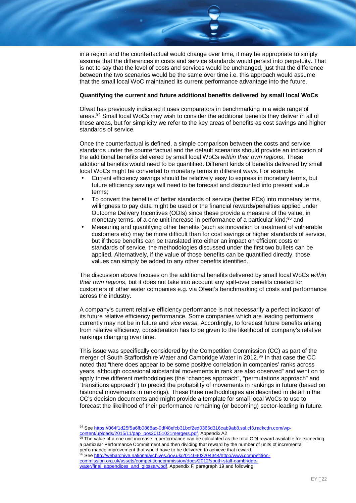in a region and the counterfactual would change over time, it may be appropriate to simply assume that the differences in costs and service standards would persist into perpetuity. That is not to say that the level of costs and services would be unchanged, just that the difference between the two scenarios would be the same over time i.e. this approach would assume that the small local WoC maintained its current performance advantage into the future.

#### **Quantifying the current and future additional benefits delivered by small local WoCs**

Ofwat has previously indicated it uses comparators in benchmarking in a wide range of areas.<sup>94</sup> Small local WoCs may wish to consider the additional benefits they deliver in all of these areas, but for simplicity we refer to the key areas of benefits as cost savings and higher standards of service.

Once the counterfactual is defined, a simple comparison between the costs and service standards under the counterfactual and the default scenarios should provide an indication of the additional benefits delivered by small local WoCs *within their own regions*. These additional benefits would need to be quantified. Different kinds of benefits delivered by small local WoCs might be converted to monetary terms in different ways. For example:

- Current efficiency savings should be relatively easy to express in monetary terms, but future efficiency savings will need to be forecast and discounted into present value terms;
- To convert the benefits of better standards of service (better PCs) into monetary terms, willingness to pay data might be used or the financial rewards/penalties applied under Outcome Delivery Incentives (ODIs) since these provide a measure of the value, in monetary terms, of a one unit increase in performance of a particular kind;<sup>95</sup> and
- Measuring and quantifying other benefits (such as innovation or treatment of vulnerable customers etc) may be more difficult than for cost savings or higher standards of service, but if those benefits can be translated into either an impact on efficient costs or standards of service, the methodologies discussed under the first two bullets can be applied. Alternatively, if the value of those benefits can be quantified directly, those values can simply be added to any other benefits identified.

The discussion above focuses on the additional benefits delivered by small local WoCs *within their own regions*, but it does not take into account any spill-over benefits created for customers of other water companies e.g. via Ofwat's benchmarking of costs and performance across the industry.

A company's current relative efficiency performance is not necessarily a perfect indicator of its future relative efficiency performance. Some companies which are leading performers currently may not be in future and *vice versa*. Accordingly, to forecast future benefits arising from relative efficiency, consideration has to be given to the likelihood of company's relative rankings changing over time.

This issue was specifically considered by the Competition Commission (CC) as part of the merger of South Staffordshire Water and Cambridge Water in 2012.<sup>96</sup> In that case the CC noted that "there does appear to be some positive correlation in companies' ranks across years, although occasional substantial movements in rank are also observed" and went on to apply three different methodologies (the "changes approach", "permutations approach" and "transitions approach") to predict the probability of movements in rankings in future (based on historical movements in rankings). These three methodologies are described in detail in the CC's decision documents and might provide a template for small local WoCs to use to forecast the likelihood of their performance remaining (or becoming) sector-leading in future.

The value of a one unit increase in performance can be calculated as the total ODI reward available for exceeding a particular Performance Commitment and then dividing that reward by the number of units of incremental performance improvement that would have to be delivered to achieve that reward.

96 See http://webarchive.nationalarchives.gov.uk/20140402204344/http://www.competitioncommission.org.uk/assets/competitioncommission/docs/2012/south-staff-cambridgewater/final\_appendices\_and\_glossary.pdf, Appendix F, paragraph 19 and following.

<sup>94</sup> See https://064f1d25f5a6fb0868ac-0df48efcb31bcf2ed0366d316cab9ab8.ssl.cf3.rackcdn.com/wpcontent/uploads/2015/11/pap\_pos20151021mergers.pdf, Appendix A2<br><sup>95</sup> The value of a one unit is used.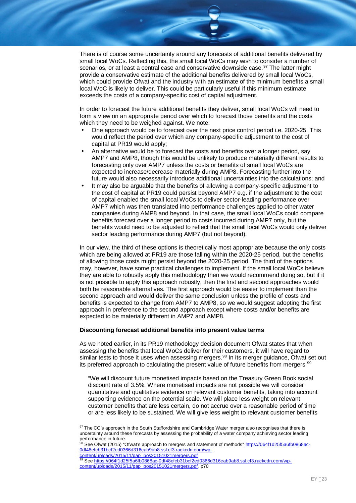There is of course some uncertainty around any forecasts of additional benefits delivered by small local WoCs. Reflecting this, the small local WoCs may wish to consider a number of scenarios, or at least a central case and conservative downside case.<sup>97</sup> The latter might provide a conservative estimate of the additional benefits delivered by small local WoCs, which could provide Ofwat and the industry with an estimate of the minimum benefits a small local WoC is likely to deliver. This could be particularly useful if this minimum estimate exceeds the costs of a company-specific cost of capital adjustment.

In order to forecast the future additional benefits they deliver, small local WoCs will need to form a view on an appropriate period over which to forecast those benefits and the costs which they need to be weighed against. We note:

- One approach would be to forecast over the next price control period i.e. 2020-25. This would reflect the period over which any company-specific adjustment to the cost of capital at PR19 would apply;
- An alternative would be to forecast the costs and benefits over a longer period, say AMP7 and AMP8, though this would be unlikely to produce materially different results to forecasting only over AMP7 unless the costs or benefits of small local WoCs are expected to increase/decrease materially during AMP8. Forecasting further into the future would also necessarily introduce additional uncertainties into the calculations; and
- It may also be arguable that the benefits of allowing a company-specific adjustment to the cost of capital at PR19 could persist beyond AMP7 e.g. if the adjustment to the cost of capital enabled the small local WoCs to deliver sector-leading performance over AMP7 which was then translated into performance challenges applied to other water companies during AMP8 and beyond. In that case, the small local WoCs could compare benefits forecast over a longer period to costs incurred during AMP7 only, but the benefits would need to be adjusted to reflect that the small local WoCs would only deliver sector leading performance during AMP7 (but not beyond).

In our view, the third of these options is theoretically most appropriate because the only costs which are being allowed at PR19 are those falling within the 2020-25 period, but the benefits of allowing those costs might persist beyond the 2020-25 period. The third of the options may, however, have some practical challenges to implement. If the small local WoCs believe they are able to robustly apply this methodology then we would recommend doing so, but if it is not possible to apply this approach robustly, then the first and second approaches would both be reasonable alternatives. The first approach would be easier to implement than the second approach and would deliver the same conclusion unless the profile of costs and benefits is expected to change from AMP7 to AMP8, so we would suggest adopting the first approach in preference to the second approach except where costs and/or benefits are expected to be materially different in AMP7 and AMP8.

#### **Discounting forecast additional benefits into present value terms**

As we noted earlier, in its PR19 methodology decision document Ofwat states that when assessing the benefits that local WoCs deliver for their customers, it will have regard to similar tests to those it uses when assessing mergers.<sup>98</sup> In its merger guidance, Ofwat set out its preferred approach to calculating the present value of future benefits from mergers:<sup>99</sup>

"We will discount future monetised impacts based on the Treasury Green Book social discount rate of 3.5%. Where monetised impacts are not possible we will consider quantitative and qualitative evidence on relevant customer benefits, taking into account supporting evidence on the potential scale. We will place less weight on relevant customer benefits that are less certain, do not accrue over a reasonable period of time or are less likely to be sustained. We will give less weight to relevant customer benefits

98 See Ofwat (2015) "Ofwat's approach to mergers and statement of methods" https://064f1d25f5a6fb0868ac-0df48efcb31bcf2ed0366d316cab9ab8.ssl.cf3.rackcdn.com/wp-

<sup>97</sup> The CC's approach in the South Staffordshire and Cambridge Water merger also recognises that there is uncertainty around these forecasts by assessing the probability of a water company achieving sector leading performance in future.

content/uploads/2015/11/pap\_pos20151021mergers.pdf

<sup>99</sup> See https://064f1d25f5a6fb0868ac-0df48efcb31bcf2ed0366d316cab9ab8.ssl.cf3.rackcdn.com/wpcontent/uploads/2015/11/pap\_pos20151021mergers.pdf, p70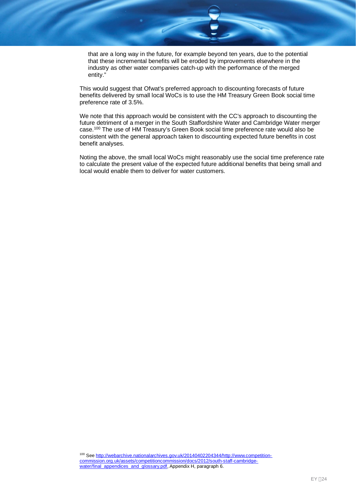that are a long way in the future, for example beyond ten years, due to the potential that these incremental benefits will be eroded by improvements elsewhere in the industry as other water companies catch-up with the performance of the merged entity."

This would suggest that Ofwat's preferred approach to discounting forecasts of future benefits delivered by small local WoCs is to use the HM Treasury Green Book social time preference rate of 3.5%.

We note that this approach would be consistent with the CC's approach to discounting the future detriment of a merger in the South Staffordshire Water and Cambridge Water merger case.<sup>100</sup> The use of HM Treasury's Green Book social time preference rate would also be consistent with the general approach taken to discounting expected future benefits in cost benefit analyses.

Noting the above, the small local WoCs might reasonably use the social time preference rate to calculate the present value of the expected future additional benefits that being small and local would enable them to deliver for water customers.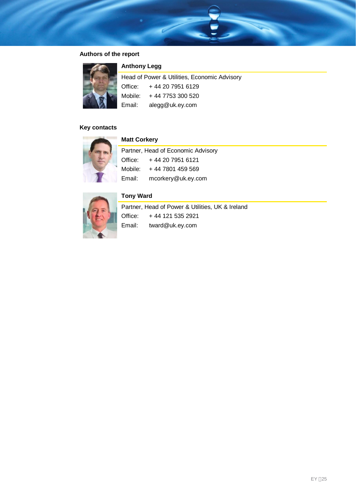## **Authors of the report**



### **Anthony Legg**

| Head of Power & Utilities, Economic Advisory |                          |  |
|----------------------------------------------|--------------------------|--|
|                                              | Office: +44 20 7951 6129 |  |
| Mobile:                                      | + 44 7753 300 520        |  |
| Email:                                       | alegg@uk.ey.com          |  |

### **Key contacts**



### **Matt Corkery**

| Partner, Head of Economic Advisory |                    |  |
|------------------------------------|--------------------|--|
| Office:                            | +44 20 7951 6121   |  |
| Mobile:                            | + 44 7801 459 569  |  |
| Email:                             | mcorkery@uk.ey.com |  |



# **Tony Ward**

Partner, Head of Power & Utilities, UK & Ireland Office: + 44 121 535 2921 Email: tward@uk.ey.com